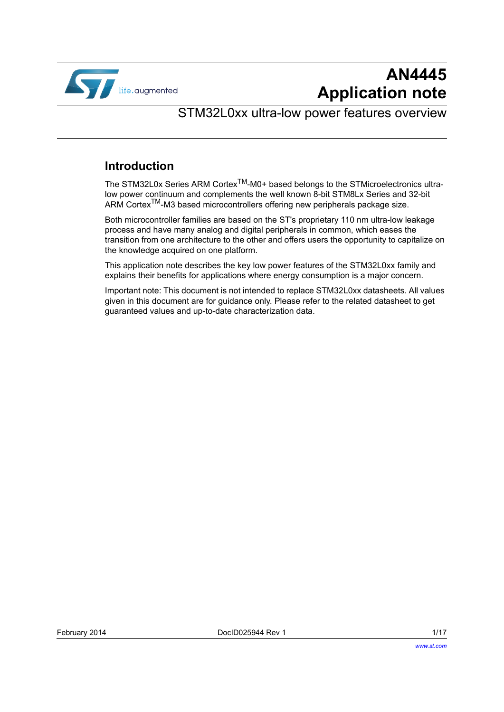

## **AN4445 Application note**

#### STM32L0xx ultra-low power features overview

#### **Introduction**

The STM32L0x Series ARM Cortex<sup>TM</sup>-M0+ based belongs to the STMicroelectronics ultralow power continuum and complements the well known 8-bit STM8Lx Series and 32-bit ARM Cortex<sup>TM</sup>-M3 based microcontrollers offering new peripherals package size.

Both microcontroller families are based on the ST's proprietary 110 nm ultra-low leakage process and have many analog and digital peripherals in common, which eases the transition from one architecture to the other and offers users the opportunity to capitalize on the knowledge acquired on one platform.

This application note describes the key low power features of the STM32L0xx family and explains their benefits for applications where energy consumption is a major concern.

Important note: This document is not intended to replace STM32L0xx datasheets. All values given in this document are for guidance only. Please refer to the related datasheet to get guaranteed values and up-to-date characterization data.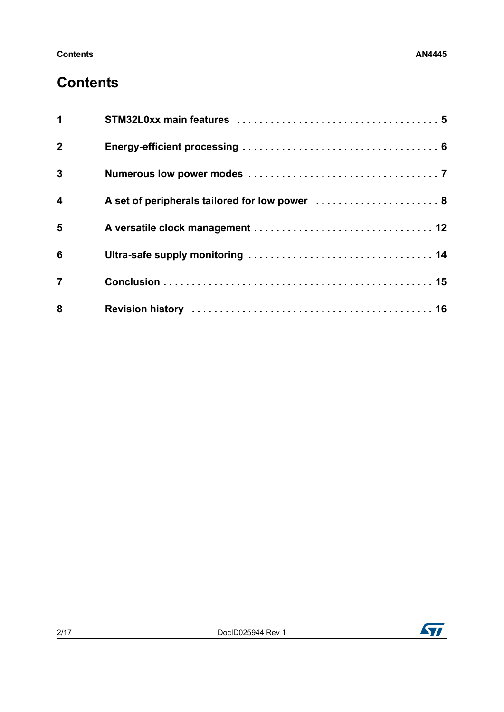### **Contents**

| $\mathbf{1}$            |                                                |
|-------------------------|------------------------------------------------|
| $\overline{2}$          |                                                |
| $\mathbf{3}$            |                                                |
| $\overline{\mathbf{4}}$ | A set of peripherals tailored for low power  8 |
| 5                       |                                                |
| 6                       |                                                |
| $\overline{7}$          |                                                |
| 8                       |                                                |

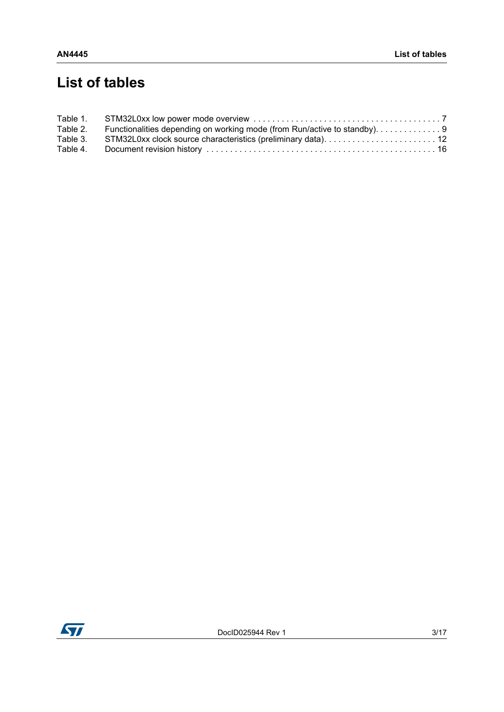## **List of tables**

| Table 2. | Functionalities depending on working mode (from Run/active to standby). 9 |  |
|----------|---------------------------------------------------------------------------|--|
| Table 3. |                                                                           |  |
| Table 4. |                                                                           |  |

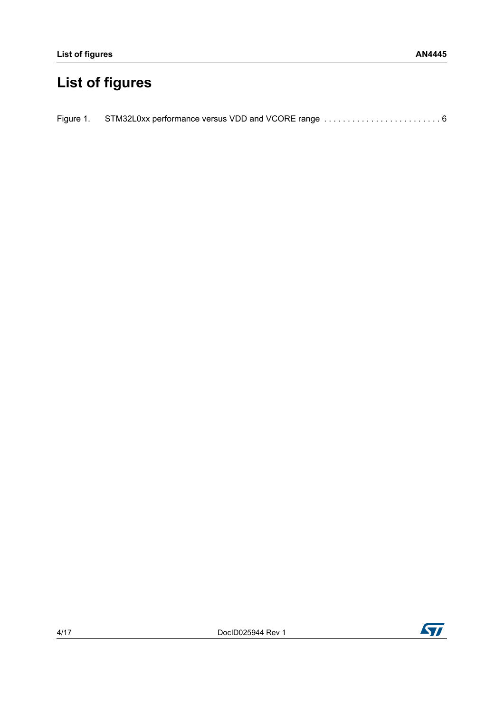# **List of figures**

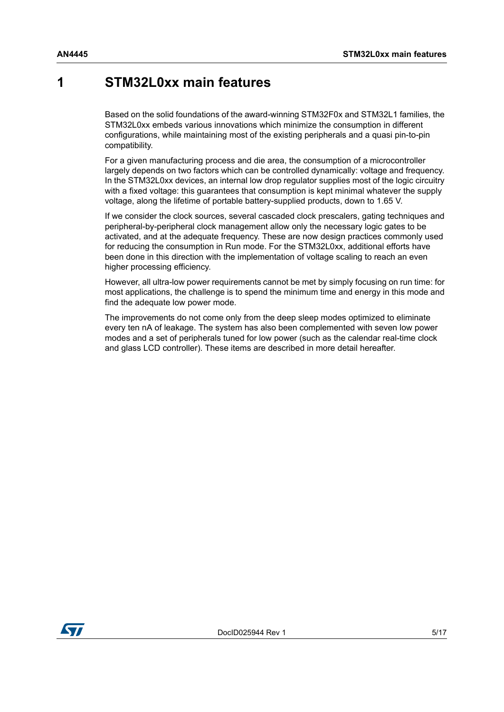#### <span id="page-4-0"></span>**1 STM32L0xx main features**

Based on the solid foundations of the award-winning STM32F0x and STM32L1 families, the STM32L0xx embeds various innovations which minimize the consumption in different configurations, while maintaining most of the existing peripherals and a quasi pin-to-pin compatibility.

For a given manufacturing process and die area, the consumption of a microcontroller largely depends on two factors which can be controlled dynamically: voltage and frequency. In the STM32L0xx devices, an internal low drop regulator supplies most of the logic circuitry with a fixed voltage: this guarantees that consumption is kept minimal whatever the supply voltage, along the lifetime of portable battery-supplied products, down to 1.65 V.

If we consider the clock sources, several cascaded clock prescalers, gating techniques and peripheral-by-peripheral clock management allow only the necessary logic gates to be activated, and at the adequate frequency. These are now design practices commonly used for reducing the consumption in Run mode. For the STM32L0xx, additional efforts have been done in this direction with the implementation of voltage scaling to reach an even higher processing efficiency.

However, all ultra-low power requirements cannot be met by simply focusing on run time: for most applications, the challenge is to spend the minimum time and energy in this mode and find the adequate low power mode.

The improvements do not come only from the deep sleep modes optimized to eliminate every ten nA of leakage. The system has also been complemented with seven low power modes and a set of peripherals tuned for low power (such as the calendar real-time clock and glass LCD controller). These items are described in more detail hereafter.

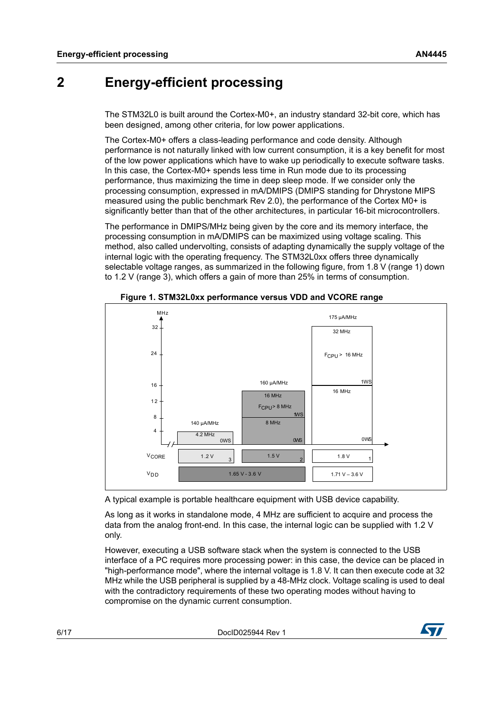#### <span id="page-5-0"></span>**2 Energy-efficient processing**

The STM32L0 is built around the Cortex-M0+, an industry standard 32-bit core, which has been designed, among other criteria, for low power applications.

The Cortex-M0+ offers a class-leading performance and code density. Although performance is not naturally linked with low current consumption, it is a key benefit for most of the low power applications which have to wake up periodically to execute software tasks. In this case, the Cortex-M0+ spends less time in Run mode due to its processing performance, thus maximizing the time in deep sleep mode. If we consider only the processing consumption, expressed in mA/DMIPS (DMIPS standing for Dhrystone MIPS measured using the public benchmark Rev 2.0), the performance of the Cortex M0+ is significantly better than that of the other architectures, in particular 16-bit microcontrollers.

The performance in DMIPS/MHz being given by the core and its memory interface, the processing consumption in mA/DMIPS can be maximized using voltage scaling. This method, also called undervolting, consists of adapting dynamically the supply voltage of the internal logic with the operating frequency. The STM32L0xx offers three dynamically selectable voltage ranges, as summarized in the following figure, from 1.8 V (range 1) down to 1.2 V (range 3), which offers a gain of more than 25% in terms of consumption.

<span id="page-5-1"></span>

**Figure 1. STM32L0xx performance versus VDD and VCORE range**

A typical example is portable healthcare equipment with USB device capability.

As long as it works in standalone mode, 4 MHz are sufficient to acquire and process the data from the analog front-end. In this case, the internal logic can be supplied with 1.2 V only.

However, executing a USB software stack when the system is connected to the USB interface of a PC requires more processing power: in this case, the device can be placed in "high-performance mode", where the internal voltage is 1.8 V. It can then execute code at 32 MHz while the USB peripheral is supplied by a 48-MHz clock. Voltage scaling is used to deal with the contradictory requirements of these two operating modes without having to compromise on the dynamic current consumption.

6/[17](#page-16-0) DocID025944 Rev 1

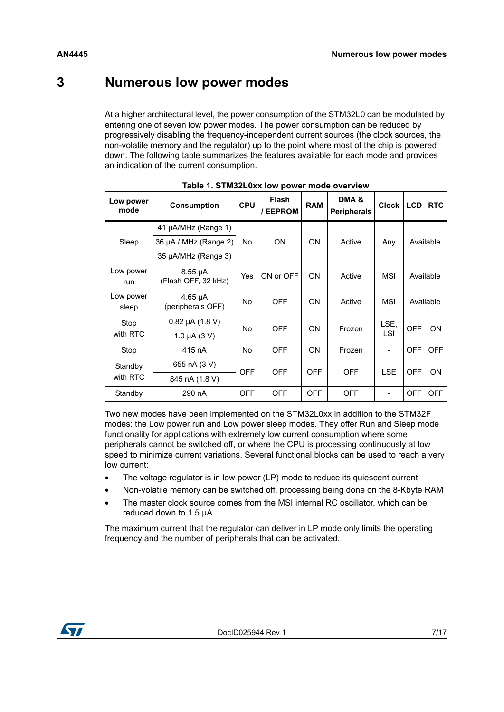#### <span id="page-6-0"></span>**3 Numerous low power modes**

At a higher architectural level, the power consumption of the STM32L0 can be modulated by entering one of seven low power modes. The power consumption can be reduced by progressively disabling the frequency-independent current sources (the clock sources, the non-volatile memory and the regulator) up to the point where most of the chip is powered down. The following table summarizes the features available for each mode and provides an indication of the current consumption.

<span id="page-6-1"></span>

| Low power<br>mode  | <b>Consumption</b>                  | <b>CPU</b>     | <b>Flash</b><br>/ EEPROM | <b>RAM</b> | DMA&<br><b>Peripherals</b> | Clock   LCD |            | <b>RTC</b> |  |
|--------------------|-------------------------------------|----------------|--------------------------|------------|----------------------------|-------------|------------|------------|--|
|                    | 41 µA/MHz (Range 1)                 |                |                          |            |                            |             |            |            |  |
| Sleep              | 36 µA / MHz (Range 2)               | No             | <b>ON</b>                | ON.        | Active                     | Any         |            | Available  |  |
|                    | 35 µA/MHz (Range 3)                 |                |                          |            |                            |             |            |            |  |
| Low power<br>run   | $8.55 \mu A$<br>(Flash OFF, 32 kHz) | Yes            | ON or OFF                | <b>ON</b>  | Active                     | MSI         |            | Available  |  |
| Low power<br>sleep | $4.65 \mu A$<br>(peripherals OFF)   | <b>No</b>      | <b>OFF</b>               | ON.        | Active                     | MSI         |            | Available  |  |
| Stop               | $0.82 \mu A (1.8 V)$                | N <sub>o</sub> | <b>OFF</b>               | ON.        | Frozen                     | LSE.        | <b>OFF</b> | ON         |  |
| with RTC           | 1.0 $\mu$ A (3 V)                   |                |                          |            |                            | LSI         |            |            |  |
| Stop               | 415 nA                              | <b>No</b>      | <b>OFF</b>               | ON.        | Frozen                     | -           | <b>OFF</b> | <b>OFF</b> |  |
| Standby            | 655 nA (3 V)                        | <b>OFF</b>     | <b>OFF</b>               | <b>OFF</b> | <b>OFF</b>                 |             | <b>OFF</b> | ON         |  |
| with RTC           | 845 nA (1.8 V)                      |                |                          |            |                            | LSE         |            |            |  |
| Standby            | 290 nA                              | <b>OFF</b>     | <b>OFF</b>               | <b>OFF</b> | <b>OFF</b>                 |             | <b>OFF</b> | <b>OFF</b> |  |

| Table 1. STM32L0xx low power mode overview |  |
|--------------------------------------------|--|
|--------------------------------------------|--|

Two new modes have been implemented on the STM32L0xx in addition to the STM32F modes: the Low power run and Low power sleep modes. They offer Run and Sleep mode functionality for applications with extremely low current consumption where some peripherals cannot be switched off, or where the CPU is processing continuously at low speed to minimize current variations. Several functional blocks can be used to reach a very low current:

- The voltage regulator is in low power (LP) mode to reduce its quiescent current
- Non-volatile memory can be switched off, processing being done on the 8-Kbyte RAM
- The master clock source comes from the MSI internal RC oscillator, which can be reduced down to 1.5 µA.

The maximum current that the regulator can deliver in LP mode only limits the operating frequency and the number of peripherals that can be activated.

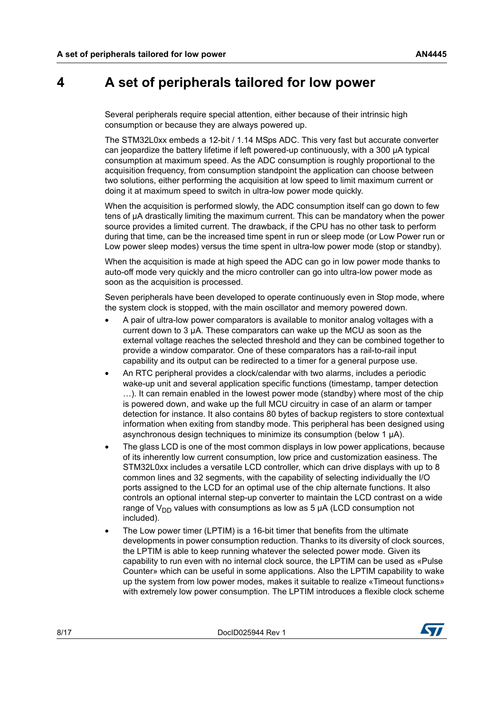#### <span id="page-7-0"></span>**4 A set of peripherals tailored for low power**

Several peripherals require special attention, either because of their intrinsic high consumption or because they are always powered up.

The STM32L0xx embeds a 12-bit / 1.14 MSps ADC. This very fast but accurate converter can jeopardize the battery lifetime if left powered-up continuously, with a 300 µA typical consumption at maximum speed. As the ADC consumption is roughly proportional to the acquisition frequency, from consumption standpoint the application can choose between two solutions, either performing the acquisition at low speed to limit maximum current or doing it at maximum speed to switch in ultra-low power mode quickly.

When the acquisition is performed slowly, the ADC consumption itself can go down to few tens of µA drastically limiting the maximum current. This can be mandatory when the power source provides a limited current. The drawback, if the CPU has no other task to perform during that time, can be the increased time spent in run or sleep mode (or Low Power run or Low power sleep modes) versus the time spent in ultra-low power mode (stop or standby).

When the acquisition is made at high speed the ADC can go in low power mode thanks to auto-off mode very quickly and the micro controller can go into ultra-low power mode as soon as the acquisition is processed.

Seven peripherals have been developed to operate continuously even in Stop mode, where the system clock is stopped, with the main oscillator and memory powered down.

- A pair of ultra-low power comparators is available to monitor analog voltages with a current down to 3 µA. These comparators can wake up the MCU as soon as the external voltage reaches the selected threshold and they can be combined together to provide a window comparator. One of these comparators has a rail-to-rail input capability and its output can be redirected to a timer for a general purpose use.
- An RTC peripheral provides a clock/calendar with two alarms, includes a periodic wake-up unit and several application specific functions (timestamp, tamper detection …). It can remain enabled in the lowest power mode (standby) where most of the chip is powered down, and wake up the full MCU circuitry in case of an alarm or tamper detection for instance. It also contains 80 bytes of backup registers to store contextual information when exiting from standby mode. This peripheral has been designed using asynchronous design techniques to minimize its consumption (below 1 µA).
- The glass LCD is one of the most common displays in low power applications, because of its inherently low current consumption, low price and customization easiness. The STM32L0xx includes a versatile LCD controller, which can drive displays with up to 8 common lines and 32 segments, with the capability of selecting individually the I/O ports assigned to the LCD for an optimal use of the chip alternate functions. It also controls an optional internal step-up converter to maintain the LCD contrast on a wide range of  $V_{DD}$  values with consumptions as low as 5  $\mu$ A (LCD consumption not included).
- The Low power timer (LPTIM) is a 16-bit timer that benefits from the ultimate developments in power consumption reduction. Thanks to its diversity of clock sources, the LPTIM is able to keep running whatever the selected power mode. Given its capability to run even with no internal clock source, the LPTIM can be used as «Pulse Counter» which can be useful in some applications. Also the LPTIM capability to wake up the system from low power modes, makes it suitable to realize «Timeout functions» with extremely low power consumption. The LPTIM introduces a flexible clock scheme

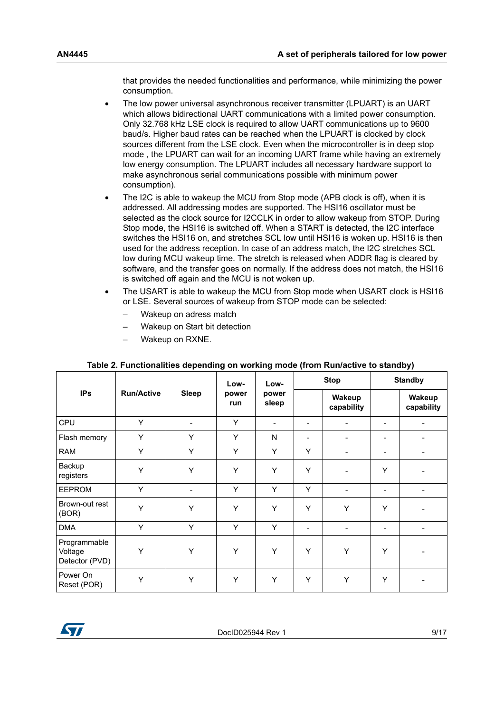that provides the needed functionalities and performance, while minimizing the power consumption.

- The low power universal asynchronous receiver transmitter (LPUART) is an UART which allows bidirectional UART communications with a limited power consumption. Only 32.768 kHz LSE clock is required to allow UART communications up to 9600 baud/s. Higher baud rates can be reached when the LPUART is clocked by clock sources different from the LSE clock. Even when the microcontroller is in deep stop mode , the LPUART can wait for an incoming UART frame while having an extremely low energy consumption. The LPUART includes all necessary hardware support to make asynchronous serial communications possible with minimum power consumption).
- The I2C is able to wakeup the MCU from Stop mode (APB clock is off), when it is addressed. All addressing modes are supported. The HSI16 oscillator must be selected as the clock source for I2CCLK in order to allow wakeup from STOP. During Stop mode, the HSI16 is switched off. When a START is detected, the I2C interface switches the HSI16 on, and stretches SCL low until HSI16 is woken up. HSI16 is then used for the address reception. In case of an address match, the I2C stretches SCL low during MCU wakeup time. The stretch is released when ADDR flag is cleared by software, and the transfer goes on normally. If the address does not match, the HSI16 is switched off again and the MCU is not woken up.
- The USART is able to wakeup the MCU from Stop mode when USART clock is HSI16 or LSE. Several sources of wakeup from STOP mode can be selected:
	- Wakeup on adress match
	- Wakeup on Start bit detection
	- Wakeup on RXNE.

<span id="page-8-0"></span>

|                                           |                   |              | Low-         | Low-           | <b>Stop</b>              |                      | <b>Standby</b>           |                      |
|-------------------------------------------|-------------------|--------------|--------------|----------------|--------------------------|----------------------|--------------------------|----------------------|
| <b>IPs</b>                                | <b>Run/Active</b> | <b>Sleep</b> | power<br>run | power<br>sleep |                          | Wakeup<br>capability |                          | Wakeup<br>capability |
| CPU                                       | Y                 |              | Y            |                | $\overline{\phantom{a}}$ |                      | $\overline{\phantom{a}}$ |                      |
| Flash memory                              | Y                 | Y            | Y            | N              | $\overline{\phantom{a}}$ | ٠                    | ۰                        |                      |
| <b>RAM</b>                                | Υ                 | Υ            | Υ            | Y              | Y                        |                      |                          |                      |
| Backup<br>registers                       | Υ                 | Y            | Y            | Y              | Y                        |                      | Y                        |                      |
| <b>EEPROM</b>                             | Y                 |              | Y            | Y              | Y                        | ٠                    | $\overline{\phantom{a}}$ |                      |
| Brown-out rest<br>(BOR)                   | Y                 | Y            | Y            | Y              | Y                        | Y                    | Y                        |                      |
| <b>DMA</b>                                | Y                 | Y            | Y            | Y              | $\overline{\phantom{a}}$ |                      |                          |                      |
| Programmable<br>Voltage<br>Detector (PVD) | Y                 | Y            | Y            | Y              | Y                        | Y                    | Y                        |                      |
| Power On<br>Reset (POR)                   | Y                 | Y            | Y            | Y              | Y                        | Y                    | Y                        |                      |

#### **Table 2. Functionalities depending on working mode (from Run/active to standby)**

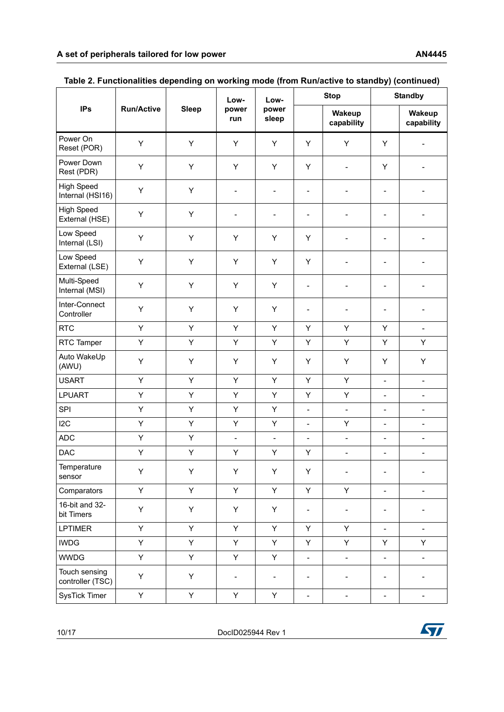|                                       |                   |              | Low-                     | Low-                     |                              | <b>Stop</b>                  | <b>Standby</b>               |                              |
|---------------------------------------|-------------------|--------------|--------------------------|--------------------------|------------------------------|------------------------------|------------------------------|------------------------------|
| <b>IPs</b>                            | <b>Run/Active</b> | <b>Sleep</b> | power<br>run             | power<br>sleep           |                              | Wakeup<br>capability         |                              | Wakeup<br>capability         |
| Power On<br>Reset (POR)               | Υ                 | Υ            | Υ                        | Y                        | Υ                            | Y                            | Y                            | $\overline{a}$               |
| Power Down<br>Rest (PDR)              | Υ                 | Y            | Y                        | Y                        | Y                            | $\overline{\phantom{a}}$     | Y                            |                              |
| <b>High Speed</b><br>Internal (HSI16) | Υ                 | Y            | $\overline{\phantom{a}}$ | $\overline{\phantom{a}}$ | $\qquad \qquad \blacksquare$ | $\overline{\phantom{m}}$     | $\overline{\phantom{a}}$     | ÷                            |
| <b>High Speed</b><br>External (HSE)   | Υ                 | Υ            | $\qquad \qquad -$        | $\blacksquare$           | $\overline{\phantom{a}}$     | $\blacksquare$               | $\blacksquare$               |                              |
| Low Speed<br>Internal (LSI)           | Υ                 | Y            | Υ                        | Υ                        | Υ                            | $\overline{\phantom{a}}$     | $\overline{\phantom{a}}$     |                              |
| Low Speed<br>External (LSE)           | Υ                 | Y            | Υ                        | Y                        | Υ                            | $\overline{\phantom{m}}$     | $\qquad \qquad \blacksquare$ | -                            |
| Multi-Speed<br>Internal (MSI)         | Y                 | Y            | Υ                        | Y                        | $\qquad \qquad \blacksquare$ |                              | $\blacksquare$               |                              |
| Inter-Connect<br>Controller           | Υ                 | Υ            | Y                        | Y                        | $\qquad \qquad \blacksquare$ | $\overline{\phantom{m}}$     | $\overline{\phantom{a}}$     | ÷                            |
| <b>RTC</b>                            | Y                 | Y            | Y                        | Y                        | Υ                            | Y                            | Y                            | $\blacksquare$               |
| RTC Tamper                            | Υ                 | Υ            | Υ                        | Y                        | Υ                            | Y                            | Υ                            | Υ                            |
| Auto WakeUp<br>(AWU)                  | Y                 | Υ            | Υ                        | Y                        | Υ                            | Y                            | Y                            | Υ                            |
| <b>USART</b>                          | Υ                 | Υ            | Υ                        | Y                        | Υ                            | Y                            | $\frac{1}{2}$                | $\overline{a}$               |
| <b>LPUART</b>                         | Υ                 | Υ            | Υ                        | Y                        | Υ                            | Y                            | $\overline{\phantom{a}}$     | $\qquad \qquad \blacksquare$ |
| SPI                                   | Υ                 | Y            | Υ                        | Y                        | $\blacksquare$               | $\frac{1}{2}$                | $\overline{\phantom{a}}$     | $\overline{\phantom{0}}$     |
| 12C                                   | Υ                 | Υ            | Υ                        | Y                        | $\qquad \qquad \blacksquare$ | Υ                            | $\overline{\phantom{a}}$     | $\qquad \qquad \blacksquare$ |
| <b>ADC</b>                            | Υ                 | Υ            | $\overline{\phantom{a}}$ | $\overline{\phantom{a}}$ | $\overline{\phantom{a}}$     | $\overline{\phantom{a}}$     | $\overline{\phantom{a}}$     | $\overline{\phantom{0}}$     |
| <b>DAC</b>                            | Υ                 | Υ            | Υ                        | Y                        | Υ                            | $\overline{a}$               | $\overline{\phantom{0}}$     | $\overline{a}$               |
| Temperature<br>sensor                 | Υ                 | Υ            | Υ                        | Υ                        | Υ                            | $\overline{\phantom{m}}$     | $\overline{\phantom{a}}$     |                              |
| Comparators                           | Y                 | Y            | Y                        | Y                        | Y                            | Y                            | $\overline{\phantom{a}}$     | $\overline{\phantom{0}}$     |
| 16-bit and 32-<br>bit Timers          | Υ                 | Υ            | Υ                        | Y                        | $\qquad \qquad \blacksquare$ | $\blacksquare$               | $\overline{\phantom{a}}$     | $\overline{\phantom{0}}$     |
| <b>LPTIMER</b>                        | Υ                 | Y            | Υ                        | Y                        | Υ                            | Y                            | $\blacksquare$               | ÷.                           |
| <b>IWDG</b>                           | Υ                 | Υ            | Υ                        | Υ                        | Υ                            | Υ                            | Y                            | Υ                            |
| <b>WWDG</b>                           | Y                 | Y            | Y                        | Υ                        | $\Box$                       | $\Box$                       | $\blacksquare$               | $\qquad \qquad -$            |
| Touch sensing<br>controller (TSC)     | Υ                 | Y            | $\overline{\phantom{a}}$ | $\blacksquare$           | $\qquad \qquad -$            | $\qquad \qquad \blacksquare$ | $\overline{\phantom{a}}$     | $\overline{\phantom{0}}$     |
| <b>SysTick Timer</b>                  | Υ                 | Y            | Y                        | Υ                        | $\qquad \qquad \blacksquare$ | $\overline{\phantom{a}}$     | $\overline{\phantom{a}}$     | $\overline{\phantom{a}}$     |

| Table 2. Functionalities depending on working mode (from Run/active to standby) (continued) |  |  |
|---------------------------------------------------------------------------------------------|--|--|
|                                                                                             |  |  |

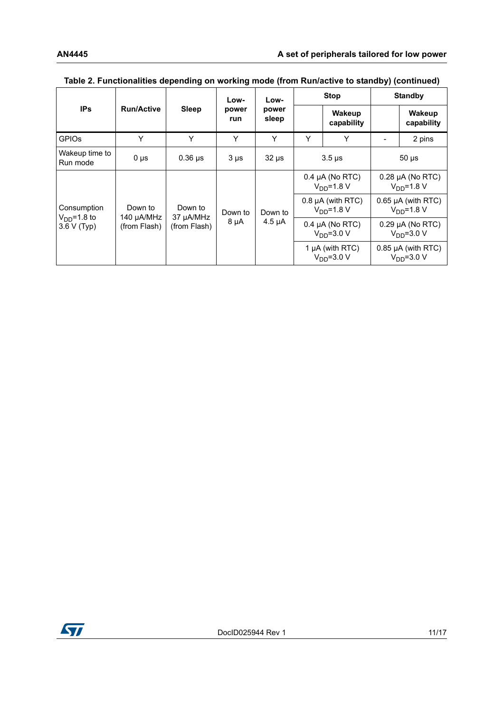|                                            |                                       |                                      | Low-                 | Low-           | <b>Stop</b>                              |                                     | <b>Standby</b> |                                        |  |  |  |  |  |  |  |             |         |                                     |                                            |                                   |  |                                          |
|--------------------------------------------|---------------------------------------|--------------------------------------|----------------------|----------------|------------------------------------------|-------------------------------------|----------------|----------------------------------------|--|--|--|--|--|--|--|-------------|---------|-------------------------------------|--------------------------------------------|-----------------------------------|--|------------------------------------------|
| <b>IPs</b>                                 | <b>Run/Active</b>                     | <b>Sleep</b>                         | power<br>run         | power<br>sleep |                                          | Wakeup<br>capability                |                | Wakeup<br>capability                   |  |  |  |  |  |  |  |             |         |                                     |                                            |                                   |  |                                          |
| <b>GPIOS</b>                               | Y                                     | Y                                    | Y                    | Y              | Υ                                        | Y                                   |                | 2 pins                                 |  |  |  |  |  |  |  |             |         |                                     |                                            |                                   |  |                                          |
| Wakeup time to<br>Run mode                 | $0 \mu s$                             | $0.36$ µs                            | $3 \mu s$            | $32 \mu s$     | $3.5 \,\mu s$                            |                                     |                | $50 \mu s$                             |  |  |  |  |  |  |  |             |         |                                     |                                            |                                   |  |                                          |
| Consumption<br>$VDD=1.8$ to<br>3.6 V (Typ) | Down to<br>140 µA/MHz<br>(from Flash) | Down to<br>37 µA/MHz<br>(from Flash) | Down to<br>$8 \mu A$ |                | $0.4 \mu A$ (No RTC)<br>$V_{DD} = 1.8 V$ |                                     |                | $0.28$ µA (No RTC)<br>$V_{DD} = 1.8 V$ |  |  |  |  |  |  |  |             |         |                                     |                                            |                                   |  |                                          |
|                                            |                                       |                                      |                      |                |                                          |                                     |                |                                        |  |  |  |  |  |  |  |             | Down to |                                     | $0.8 \mu A$ (with RTC)<br>$V_{DD} = 1.8 V$ |                                   |  | $0.65$ µA (with RTC)<br>$V_{DD} = 1.8 V$ |
|                                            |                                       |                                      |                      |                |                                          |                                     |                |                                        |  |  |  |  |  |  |  | $4.5 \mu A$ |         | $0.4 \mu A$ (No RTC)<br>$VDD=3.0 V$ |                                            | $0.29$ µA (No RTC)<br>$VDD=3.0 V$ |  |                                          |
|                                            |                                       |                                      |                      |                |                                          | 1 $\mu$ A (with RTC)<br>$VDD=3.0 V$ |                | $0.85$ µA (with RTC)<br>$VDD=3.0 V$    |  |  |  |  |  |  |  |             |         |                                     |                                            |                                   |  |                                          |

#### **Table 2. Functionalities depending on working mode (from Run/active to standby) (continued)**

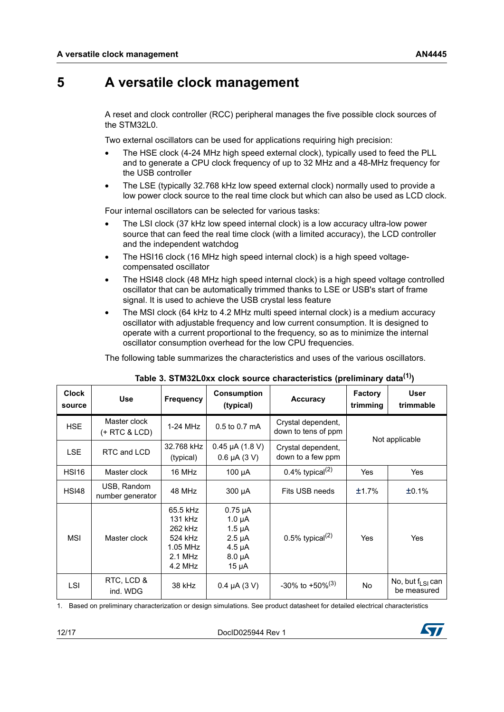### <span id="page-11-0"></span>**5 A versatile clock management**

A reset and clock controller (RCC) peripheral manages the five possible clock sources of the STM32L0.

Two external oscillators can be used for applications requiring high precision:

- The HSE clock (4-24 MHz high speed external clock), typically used to feed the PLL and to generate a CPU clock frequency of up to 32 MHz and a 48-MHz frequency for the USB controller
- The LSE (typically 32.768 kHz low speed external clock) normally used to provide a low power clock source to the real time clock but which can also be used as LCD clock.

Four internal oscillators can be selected for various tasks:

- The LSI clock (37 kHz low speed internal clock) is a low accuracy ultra-low power source that can feed the real time clock (with a limited accuracy), the LCD controller and the independent watchdog
- The HSI16 clock (16 MHz high speed internal clock) is a high speed voltagecompensated oscillator
- The HSI48 clock (48 MHz high speed internal clock) is a high speed voltage controlled oscillator that can be automatically trimmed thanks to LSE or USB's start of frame signal. It is used to achieve the USB crystal less feature
- The MSI clock (64 kHz to 4.2 MHz multi speed internal clock) is a medium accuracy oscillator with adjustable frequency and low current consumption. It is designed to operate with a current proportional to the frequency, so as to minimize the internal oscillator consumption overhead for the low CPU frequencies.

The following table summarizes the characteristics and uses of the various oscillators.

<span id="page-11-1"></span>

| <b>Clock</b><br>source | <b>Use</b>                      | <b>Frequency</b>                                                              | <b>Consumption</b><br>(typical)                                                                  | <b>Accuracy</b>                           | <b>Factory</b><br>trimming | User<br>trimmable                              |
|------------------------|---------------------------------|-------------------------------------------------------------------------------|--------------------------------------------------------------------------------------------------|-------------------------------------------|----------------------------|------------------------------------------------|
| <b>HSE</b>             | Master clock<br>(+ RTC & LCD)   | 1-24 MHz                                                                      | 0.5 to 0.7 mA                                                                                    | Crystal dependent,<br>down to tens of ppm |                            | Not applicable                                 |
| <b>LSE</b>             | RTC and LCD                     | 32.768 kHz<br>(typical)                                                       | $0.45 \mu A (1.8 V)$<br>$0.6 \mu A (3 V)$                                                        | Crystal dependent,<br>down to a few ppm   |                            |                                                |
| <b>HSI16</b>           | Master clock                    | 16 MHz                                                                        | $100 \mu A$                                                                                      | 0.4% typical $(2)$                        | Yes                        | Yes                                            |
| <b>HSI48</b>           | USB, Random<br>number generator | 48 MHz                                                                        | 300 µA                                                                                           | Fits USB needs                            | ±1.7%                      | ±0.1%                                          |
| <b>MSI</b>             | Master clock                    | 65.5 kHz<br>131 kHz<br>262 kHz<br>524 kHz<br>1.05 MHz<br>$2.1$ MHz<br>4.2 MHz | $0.75 \mu A$<br>$1.0 \mu A$<br>$1.5 \mu A$<br>$2.5 \mu A$<br>$4.5 \mu A$<br>$8.0 \mu A$<br>15 µA | 0.5% typical <sup>(2)</sup>               | Yes                        | Yes                                            |
| <b>LSI</b>             | RTC, LCD &<br>ind. WDG          | 38 kHz                                                                        | $0.4 \mu A (3 V)$                                                                                | $-30\%$ to $+50\%$ <sup>(3)</sup>         | No.                        | No, but $f1$ s <sub>i</sub> can<br>be measured |

| Table 3. STM32L0xx clock source characteristics (preliminary data <sup>(1)</sup> ) |  |  |
|------------------------------------------------------------------------------------|--|--|
|------------------------------------------------------------------------------------|--|--|

1. Based on preliminary characterization or design simulations. See product datasheet for detailed electrical characteristics

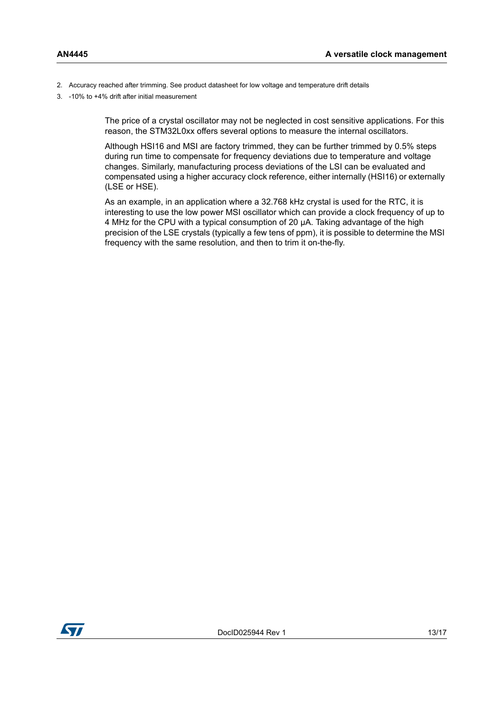- <span id="page-12-0"></span>2. Accuracy reached after trimming. See product datasheet for low voltage and temperature drift details
- 3. -10% to +4% drift after initial measurement

The price of a crystal oscillator may not be neglected in cost sensitive applications. For this reason, the STM32L0xx offers several options to measure the internal oscillators.

Although HSI16 and MSI are factory trimmed, they can be further trimmed by 0.5% steps during run time to compensate for frequency deviations due to temperature and voltage changes. Similarly, manufacturing process deviations of the LSI can be evaluated and compensated using a higher accuracy clock reference, either internally (HSI16) or externally (LSE or HSE).

As an example, in an application where a 32.768 kHz crystal is used for the RTC, it is interesting to use the low power MSI oscillator which can provide a clock frequency of up to 4 MHz for the CPU with a typical consumption of 20 µA. Taking advantage of the high precision of the LSE crystals (typically a few tens of ppm), it is possible to determine the MSI frequency with the same resolution, and then to trim it on-the-fly.

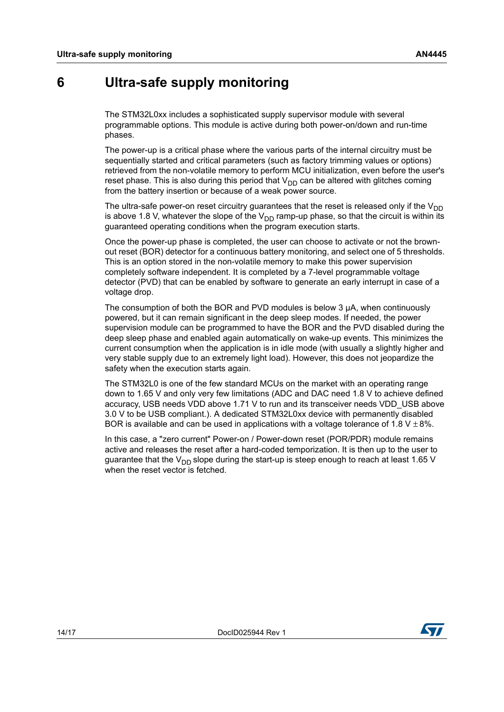#### <span id="page-13-0"></span>**6 Ultra-safe supply monitoring**

The STM32L0xx includes a sophisticated supply supervisor module with several programmable options. This module is active during both power-on/down and run-time phases.

The power-up is a critical phase where the various parts of the internal circuitry must be sequentially started and critical parameters (such as factory trimming values or options) retrieved from the non-volatile memory to perform MCU initialization, even before the user's reset phase. This is also during this period that  $V_{DD}$  can be altered with glitches coming from the battery insertion or because of a weak power source.

The ultra-safe power-on reset circuitry guarantees that the reset is released only if the  $V_{DD}$ is above 1.8 V, whatever the slope of the  $V_{DD}$  ramp-up phase, so that the circuit is within its guaranteed operating conditions when the program execution starts.

Once the power-up phase is completed, the user can choose to activate or not the brownout reset (BOR) detector for a continuous battery monitoring, and select one of 5 thresholds. This is an option stored in the non-volatile memory to make this power supervision completely software independent. It is completed by a 7-level programmable voltage detector (PVD) that can be enabled by software to generate an early interrupt in case of a voltage drop.

The consumption of both the BOR and PVD modules is below 3  $\mu$ A, when continuously powered, but it can remain significant in the deep sleep modes. If needed, the power supervision module can be programmed to have the BOR and the PVD disabled during the deep sleep phase and enabled again automatically on wake-up events. This minimizes the current consumption when the application is in idle mode (with usually a slightly higher and very stable supply due to an extremely light load). However, this does not jeopardize the safety when the execution starts again.

The STM32L0 is one of the few standard MCUs on the market with an operating range down to 1.65 V and only very few limitations (ADC and DAC need 1.8 V to achieve defined accuracy, USB needs VDD above 1.71 V to run and its transceiver needs VDD\_USB above 3.0 V to be USB compliant.). A dedicated STM32L0xx device with permanently disabled BOR is available and can be used in applications with a voltage tolerance of 1.8 V  $\pm$  8%.

In this case, a "zero current" Power-on / Power-down reset (POR/PDR) module remains active and releases the reset after a hard-coded temporization. It is then up to the user to guarantee that the  $V_{DD}$  slope during the start-up is steep enough to reach at least 1.65 V when the reset vector is fetched.

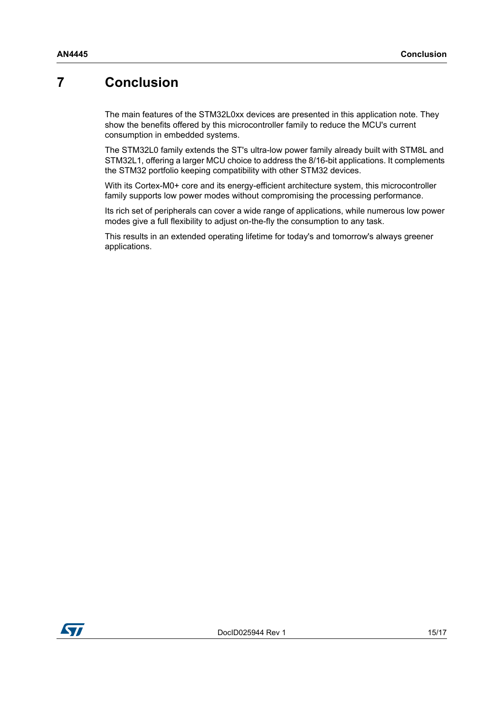### <span id="page-14-0"></span>**7 Conclusion**

The main features of the STM32L0xx devices are presented in this application note. They show the benefits offered by this microcontroller family to reduce the MCU's current consumption in embedded systems.

The STM32L0 family extends the ST's ultra-low power family already built with STM8L and STM32L1, offering a larger MCU choice to address the 8/16-bit applications. It complements the STM32 portfolio keeping compatibility with other STM32 devices.

With its Cortex-M0+ core and its energy-efficient architecture system, this microcontroller family supports low power modes without compromising the processing performance.

Its rich set of peripherals can cover a wide range of applications, while numerous low power modes give a full flexibility to adjust on-the-fly the consumption to any task.

This results in an extended operating lifetime for today's and tomorrow's always greener applications.

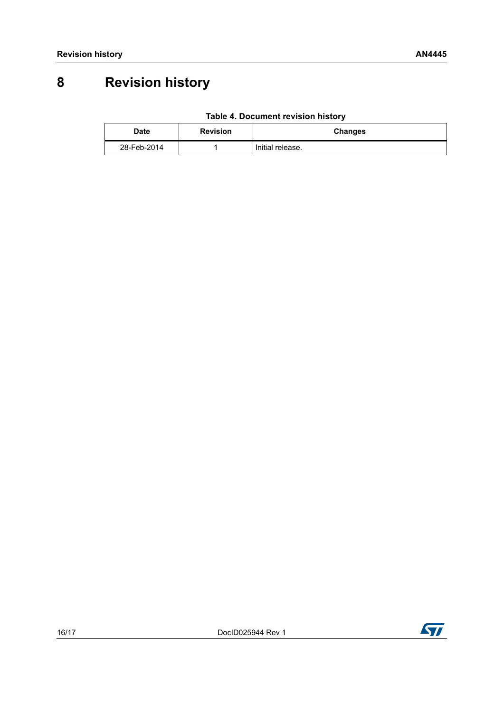### <span id="page-15-0"></span>**8 Revision history**

| Table 4. Document revision history |  |  |  |
|------------------------------------|--|--|--|
|------------------------------------|--|--|--|

<span id="page-15-1"></span>

| Date        | <b>Revision</b> | <b>Changes</b>   |
|-------------|-----------------|------------------|
| 28-Feb-2014 |                 | Initial release. |